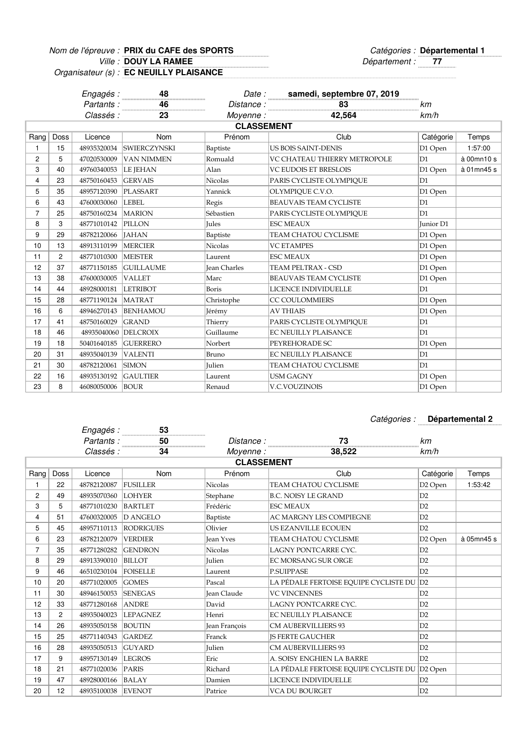Nom de l'épreuve : PRIX du CAFE des SPORTS  $\Box$  and  $\Box$  Catégories : **DOUY LA RAMEE**

Ville : **DOUY LA RAMEE 1998 COUY LA RAMEE 1999 COUY LA RAMEE PRIX du CAFE des SPORTS Départemental 1** 

Organisateur (s) : **EC NEUILLY PLAISANCE**

|                |                   | Engagés :            | 48                     |                     | Date: samedi, septembre 07, 2019 |                |            |  |
|----------------|-------------------|----------------------|------------------------|---------------------|----------------------------------|----------------|------------|--|
|                |                   | Partants:            | 46<br>$\frac{46}{100}$ | Distance:           | 83                               | km             |            |  |
|                |                   | Classés :            | 23                     | Movenne :           | 42,564                           | km/h           |            |  |
|                | <b>CLASSEMENT</b> |                      |                        |                     |                                  |                |            |  |
| Rang           | Doss              | Licence              | Nom                    | Prénom              | Club                             | Catégorie      | Temps      |  |
| $\mathbf{1}$   | 15                | 48935320034          | <b>SWIERCZYNSKI</b>    | Baptiste            | <b>US BOIS SAINT-DENIS</b>       | D1 Open        | 1:57:00    |  |
| $\overline{2}$ | 5                 | 47020530009          | <b>VAN NIMMEN</b>      | Romuald             | VC CHATEAU THIERRY METROPOLE     | D1             | à 00mn10 s |  |
| 3              | 40                | 49760340053          | LE JEHAN               | Alan                | <b>VC EUDOIS ET BRESLOIS</b>     | D1 Open        | à 01mn45 s |  |
| 4              | 23                | 48750160453          | <b>GERVAIS</b>         | Nicolas             | PARIS CYCLISTE OLYMPIOUE         | D <sub>1</sub> |            |  |
| 5              | 35                | 48957120390          | PLASSART               | Yannick             | OLYMPIQUE C.V.O.                 | D1 Open        |            |  |
| 6              | 43                | 47600030060          | <b>LEBEL</b>           | Regis               | <b>BEAUVAIS TEAM CYCLISTE</b>    | D1             |            |  |
| $\overline{7}$ | 25                | 48750160234          | <b>MARION</b>          | Sébastien           | PARIS CYCLISTE OLYMPIQUE         | D1             |            |  |
| 8              | 3                 | 48771010142          | PILLON                 | <b>Jules</b>        | <b>ESC MEAUX</b>                 | Junior D1      |            |  |
| 9              | 29                | 48782120066          | <b>JAHAN</b>           | Baptiste            | TEAM CHATOU CYCLISME             | D1 Open        |            |  |
| 10             | 13                | 48913110199          | <b>MERCIER</b>         | Nicolas             | <b>VC ETAMPES</b>                | D1 Open        |            |  |
| 11             | $\overline{c}$    | 48771010300          | <b>MEISTER</b>         | Laurent             | <b>ESC MEAUX</b>                 | D1 Open        |            |  |
| 12             | 37                | 48771150185          | <b>GUILLAUME</b>       | <b>Jean Charles</b> | <b>TEAM PELTRAX - CSD</b>        | D1 Open        |            |  |
| 13             | 38                | 47600030005          | <b>VALLET</b>          | Marc                | <b>BEAUVAIS TEAM CYCLISTE</b>    | D1 Open        |            |  |
| 14             | 44                | 48928000181          | <b>LETRIBOT</b>        | Boris               | LICENCE INDIVIDUELLE             | D1             |            |  |
| 15             | 28                | 48771190124          | <b>MATRAT</b>          | Christophe          | <b>CC COULOMMIERS</b>            | D1 Open        |            |  |
| 16             | 6                 | 48946270143          | <b>BENHAMOU</b>        | Jérémy              | <b>AV THIAIS</b>                 | D1 Open        |            |  |
| 17             | 41                | 48750160029          | <b>GRAND</b>           | Thierry             | PARIS CYCLISTE OLYMPIOUE         | D1             |            |  |
| 18             | 46                | 48935040060 DELCROIX |                        | Guillaume           | EC NEUILLY PLAISANCE             | D1             |            |  |
| 19             | 18                | 50401640185          | <b>GUERRERO</b>        | Norbert             | PEYREHORADE SC                   | D1 Open        |            |  |
| 20             | 31                | 48935040139          | <b>VALENTI</b>         | Bruno               | <b>EC NEUILLY PLAISANCE</b>      | D1             |            |  |
| 21             | 30                | 48782120061          | <b>SIMON</b>           | <b>Iulien</b>       | TEAM CHATOU CYCLISME             | D1             |            |  |
| 22             | 16                | 48935130192          | <b>GAULTIER</b>        | Laurent             | <b>USM GAGNY</b>                 | D1 Open        |            |  |
| 23             | 8                 | 46080050006          | <b>BOUR</b>            | Renaud              | V.C.VOUZINOIS                    | D1 Open        |            |  |

## N° /Catégorie Epreuve : Catégories : **Départemental 2**

|                |                | Engagés :   | 53               |                    |                                               |                     |            |
|----------------|----------------|-------------|------------------|--------------------|-----------------------------------------------|---------------------|------------|
|                |                | Partants:   | 50               | Distance:          | 73                                            | km                  |            |
|                |                | Classés :   | 34               | Moyenne:           | 38,522                                        | km/h                |            |
|                |                |             |                  | <b>CLASSEMENT</b>  |                                               |                     |            |
| Rang           | Doss           | Licence     | Nom              | Prénom             | Club                                          | Catégorie           | Temps      |
|                | 22             | 48782120087 | <b>FUSILLER</b>  | <b>Nicolas</b>     | <b>TEAM CHATOU CYCLISME</b>                   | D <sub>2</sub> Open | 1:53:42    |
| 2              | 49             | 48935070360 | <b>LOHYER</b>    | Stephane           | <b>B.C. NOISY LE GRAND</b>                    | D2                  |            |
| 3              | 5              | 48771010230 | <b>BARTLET</b>   | Frédéric           | <b>ESC MEAUX</b>                              | D2                  |            |
| 4              | 51             | 47600320005 | <b>D ANGELO</b>  | Baptiste           | <b>AC MARGNY LES COMPIEGNE</b>                | D2                  |            |
| 5              | 45             | 48957110113 | <b>RODRIGUES</b> | Olivier            | <b>US EZANVILLE ECOUEN</b>                    | D2                  |            |
| 6              | 23             | 48782120079 | <b>VERDIER</b>   | <b>Jean Yves</b>   | <b>TEAM CHATOU CYCLISME</b>                   | D <sub>2</sub> Open | à 05mn45 s |
| $\overline{7}$ | 35             | 48771280282 | <b>GENDRON</b>   | <b>Nicolas</b>     | LAGNY PONTCARRE CYC.                          | D2                  |            |
| 8              | 29             | 48913390010 | <b>BILLOT</b>    | <b>Iulien</b>      | <b>EC MORSANG SUR ORGE</b>                    | D2                  |            |
| 9              | 46             | 46510230104 | <b>FOISELLE</b>  | Laurent            | <b>P.SUIPPASE</b>                             | D2                  |            |
| 10             | 20             | 48771020005 | <b>GOMES</b>     | Pascal             | LA PÉDALE FERTOISE EQUIPE CYCLISTE DU D2      |                     |            |
| 11             | 30             | 48946150053 | <b>SENEGAS</b>   | <b>Jean Claude</b> | <b>VC VINCENNES</b>                           | D2                  |            |
| 12             | 33             | 48771280168 | <b>ANDRE</b>     | David              | LAGNY PONTCARRE CYC.                          | D2                  |            |
| 13             | $\overline{c}$ | 48935040023 | <b>LEPAGNEZ</b>  | Henri              | <b>EC NEUILLY PLAISANCE</b>                   | D2                  |            |
| 14             | 26             | 48935050158 | <b>BOUTIN</b>    | Jean François      | <b>CM AUBERVILLIERS 93</b>                    | D2                  |            |
| 15             | 25             | 48771140343 | <b>GARDEZ</b>    | Franck             | <b>IS FERTE GAUCHER</b>                       | D2                  |            |
| 16             | 28             | 48935050513 | <b>GUYARD</b>    | Julien             | <b>CM AUBERVILLIERS 93</b>                    | D2                  |            |
| 17             | 9              | 48957130149 | <b>LEGROS</b>    | Eric               | A. SOISY ENGHIEN LA BARRE                     | D2                  |            |
| 18             | 21             | 48771020036 | PARIS            | Richard            | LA PÉDALE FERTOISE EQUIPE CYCLISTE DU D2 Open |                     |            |
| 19             | 47             | 48928000166 | <b>BALAY</b>     | Damien             | LICENCE INDIVIDUELLE                          | D2                  |            |
| 20             | 12             | 48935100038 | <b>EVENOT</b>    | Patrice            | <b>VCA DU BOURGET</b>                         | D2                  |            |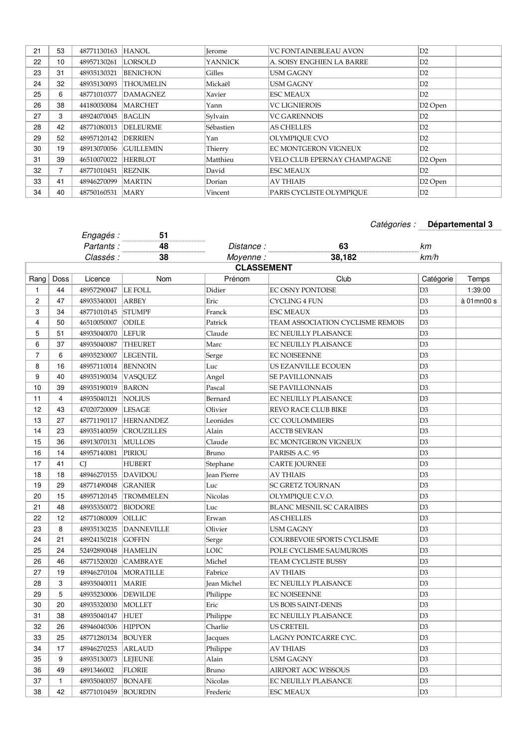| 21 | 53             | 48771130163 | <b>HANOL</b>     | <b>Jerome</b>  | <b>VC FONTAINEBLEAU AVON</b> | D2                  |
|----|----------------|-------------|------------------|----------------|------------------------------|---------------------|
| 22 | 10             | 48957130261 | <b>LORSOLD</b>   | <b>YANNICK</b> | A. SOISY ENGHIEN LA BARRE    | D2                  |
| 23 | 31             | 48935130321 | <b>BENICHON</b>  | Gilles         | <b>USM GAGNY</b>             | D2                  |
| 24 | 32             | 48935130093 | <b>THOUMELIN</b> | Mickaël        | <b>USM GAGNY</b>             | D2                  |
| 25 | 6              | 48771010377 | <b>DAMAGNEZ</b>  | Xavier         | <b>ESC MEAUX</b>             | D2                  |
| 26 | 38             | 44180030084 | <b>MARCHET</b>   | Yann           | <b>VC LIGNIEROIS</b>         | D <sub>2</sub> Open |
| 27 | 3              | 48924070045 | <b>BAGLIN</b>    | Sylvain        | <b>VC GARENNOIS</b>          | D2                  |
| 28 | 42             | 48771080013 | <b>DELEURME</b>  | Sébastien      | <b>AS CHELLES</b>            | D2                  |
| 29 | 52             | 48957120142 | <b>DERRIEN</b>   | Yan            | OLYMPIOUE CVO                | D2                  |
| 30 | 19             | 48913070056 | <b>GUILLEMIN</b> | Thierry        | EC MONTGERON VIGNEUX         | D2                  |
| 31 | 39             | 46510070022 | <b>HERBLOT</b>   | Matthieu       | VELO CLUB EPERNAY CHAMPAGNE  | D <sub>2</sub> Open |
| 32 | $\overline{7}$ | 48771010451 | REZNIK           | David          | <b>ESC MEAUX</b>             | D <sub>2</sub>      |
| 33 | 41             | 48946270099 | <b>MARTIN</b>    | Dorian         | <b>AV THIAIS</b>             | D <sub>2</sub> Open |
| 34 | 40             | 48750160531 | <b>MARY</b>      | Vincent        | PARIS CYCLISTE OLYMPIOUE     | D2                  |
|    |                |             |                  |                |                              |                     |

## Catégories : **Départemental 3**

|                |                         | Engagés :          | 51<br>.           |                    | . <i>. .</i>                     |                |            |  |
|----------------|-------------------------|--------------------|-------------------|--------------------|----------------------------------|----------------|------------|--|
|                |                         | Partants:          | 48                | Distance:          | 63                               | km             |            |  |
|                |                         | Classés :          | 38                | Moyenne:           | 38,182                           | km/h           |            |  |
|                | <b>CLASSEMENT</b>       |                    |                   |                    |                                  |                |            |  |
| Rang           | Doss                    | Licence            | Nom               | Prénom             | Club                             | Catégorie      | Temps      |  |
| 1              | 44                      | 48957290047        | LE FOLL           | Didier             | <b>EC OSNY PONTOISE</b>          | D <sub>3</sub> | 1:39:00    |  |
| $\overline{c}$ | 47                      | 48935340001        | <b>ARBEY</b>      | Eric               | CYCLING 4 FUN                    | D <sub>3</sub> | à 01mn00 s |  |
| 3              | 34                      | 48771010145        | <b>STUMPF</b>     | Franck             | <b>ESC MEAUX</b>                 | D <sub>3</sub> |            |  |
| $\overline{4}$ | 50                      | 46510050007        | <b>ODILE</b>      | Patrick            | TEAM ASSOCIATION CYCLISME REMOIS | D3             |            |  |
| 5              | 51                      | 48935040070        | <b>LEFUR</b>      | Claude             | EC NEUILLY PLAISANCE             | D3             |            |  |
| 6              | 37                      | 48935040087        | <b>THEURET</b>    | Marc               | EC NEUILLY PLAISANCE             | D <sub>3</sub> |            |  |
| $\overline{7}$ | 6                       | 48935230007        | <b>LEGENTIL</b>   | Serge              | <b>EC NOISEENNE</b>              | D <sub>3</sub> |            |  |
| 8              | 16                      | 48957110014        | <b>BENNOIN</b>    | Luc                | US EZANVILLE ECOUEN              | D <sub>3</sub> |            |  |
| 9              | 40                      | 48935190034        | VASQUEZ           | Angel              | <b>SE PAVILLONNAIS</b>           | D3             |            |  |
| 10             | 39                      | 48935190019        | <b>BARON</b>      | Pascal             | <b>SE PAVILLONNAIS</b>           | D3             |            |  |
| 11             | $\overline{\mathbf{4}}$ | 48935040121        | <b>NOLIUS</b>     | Bernard            | EC NEUILLY PLAISANCE             | D <sub>3</sub> |            |  |
| 12             | 43                      | 47020720009        | LESAGE            | Olivier            | REVO RACE CLUB BIKE              | D <sub>3</sub> |            |  |
| 13             | 27                      | 48771190117        | <b>HERNANDEZ</b>  | Leonides           | <b>CC COULOMMIERS</b>            | D <sub>3</sub> |            |  |
| 14             | 23                      | 48935140059        | <b>CROUZILLES</b> | Alain              | <b>ACCTB SEVRAN</b>              | D <sub>3</sub> |            |  |
| 15             | 36                      | 48913070131        | <b>MULLOIS</b>    | Claude             | EC MONTGERON VIGNEUX             | D3             |            |  |
| 16             | 14                      | 48957140081        | PIRIOU            | Bruno              | PARISIS A.C. 95                  | D3             |            |  |
| 17             | 41                      | <sup>CI</sup>      | <b>HUBERT</b>     | Stephane           | CARTE JOURNEE                    | D3             |            |  |
| 18             | 18                      | 48946270155        | DAVIDOU           | <b>Jean Pierre</b> | <b>AV THIAIS</b>                 | D <sub>3</sub> |            |  |
| 19             | 29                      | 48771490048        | <b>GRANIER</b>    | Luc                | <b>SC GRETZ TOURNAN</b>          | D <sub>3</sub> |            |  |
| 20             | 15                      | 48957120145        | <b>TROMMELEN</b>  | Nicolas            | OLYMPIQUE C.V.O.                 | D <sub>3</sub> |            |  |
| 21             | 48                      | 48935350072        | <b>BIODORE</b>    | Luc                | <b>BLANC MESNIL SC CARAIBES</b>  | D <sub>3</sub> |            |  |
| 22             | 12                      | 48771080009        | OILLIC            | Erwan              | <b>AS CHELLES</b>                | D <sub>3</sub> |            |  |
| 23             | 8                       | 48935130235        | <b>DANNEVILLE</b> | Olivier            | USM GAGNY                        | D3             |            |  |
| 24             | 21                      | 48924150218        | <b>GOFFIN</b>     | Serge              | COURBEVOIE SPORTS CYCLISME       | D <sub>3</sub> |            |  |
| 25             | 24                      | 52492890048        | <b>HAMELIN</b>    | LOIC               | POLE CYCLISME SAUMUROIS          | D <sub>3</sub> |            |  |
| 26             | 46                      | 48771520020        | <b>CAMBRAYE</b>   | Michel             | TEAM CYCLISTE BUSSY              | D <sub>3</sub> |            |  |
| 27             | 19                      | 48946270104        | MORATILLE         | Fabrice            | AV THIAIS                        | D3             |            |  |
| 28             | 3                       | 48935040011        | <b>MARIE</b>      | Jean Michel        | EC NEUILLY PLAISANCE             | D <sub>3</sub> |            |  |
| 29             | 5                       | 48935230006        | <b>DEWILDE</b>    | Philippe           | <b>EC NOISEENNE</b>              | D3             |            |  |
| 30             | 20                      | 48935320030        | <b>MOLLET</b>     | Eric               | US BOIS SAINT-DENIS              | D3             |            |  |
| 31             | 38                      | 48935040147 HUET   |                   | Philippe           | <b>EC NEUILLY PLAISANCE</b>      | D <sub>3</sub> |            |  |
| 32             | 26                      | 48946040306 HIPPON |                   | Charlie            | US CRETEIL                       | D <sub>3</sub> |            |  |
| 33             | 25                      | 48771280134        | BOUYER            | Jacques            | LAGNY PONTCARRE CYC.             | D3             |            |  |
| 34             | 17                      | 48946270253        | ARLAUD            | Philippe           | AV THIAIS                        | D <sub>3</sub> |            |  |
| 35             | 9                       | 48935130073        | <b>LEJEUNE</b>    | Alain              | USM GAGNY                        | D3             |            |  |
| 36             | 49                      | 4891346002         | <b>FLORIE</b>     | Bruno              | AIRPORT AOC WISSOUS              | D3             |            |  |
| 37             | 1                       | 48935040057        | <b>BONAFE</b>     | Nicolas            | EC NEUILLY PLAISANCE             | D3             |            |  |
| 38             | 42                      | 48771010459        | <b>BOURDIN</b>    | Frederic           | ESC MEAUX                        | D <sub>3</sub> |            |  |